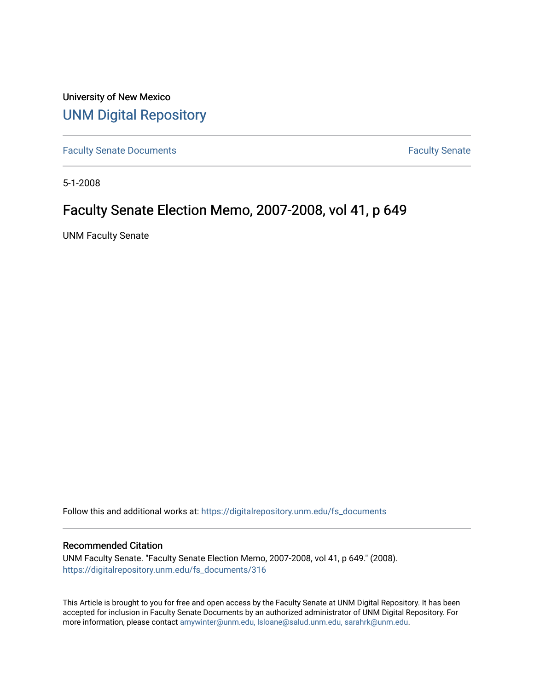University of New Mexico [UNM Digital Repository](https://digitalrepository.unm.edu/) 

[Faculty Senate Documents](https://digitalrepository.unm.edu/fs_documents) **Faculty** Senate **Faculty** Senate

5-1-2008

# Faculty Senate Election Memo, 2007-2008, vol 41, p 649

UNM Faculty Senate

Follow this and additional works at: [https://digitalrepository.unm.edu/fs\\_documents](https://digitalrepository.unm.edu/fs_documents?utm_source=digitalrepository.unm.edu%2Ffs_documents%2F316&utm_medium=PDF&utm_campaign=PDFCoverPages)

#### Recommended Citation

UNM Faculty Senate. "Faculty Senate Election Memo, 2007-2008, vol 41, p 649." (2008). [https://digitalrepository.unm.edu/fs\\_documents/316](https://digitalrepository.unm.edu/fs_documents/316?utm_source=digitalrepository.unm.edu%2Ffs_documents%2F316&utm_medium=PDF&utm_campaign=PDFCoverPages)

This Article is brought to you for free and open access by the Faculty Senate at UNM Digital Repository. It has been accepted for inclusion in Faculty Senate Documents by an authorized administrator of UNM Digital Repository. For more information, please contact [amywinter@unm.edu, lsloane@salud.unm.edu, sarahrk@unm.edu](mailto:amywinter@unm.edu,%20lsloane@salud.unm.edu,%20sarahrk@unm.edu).